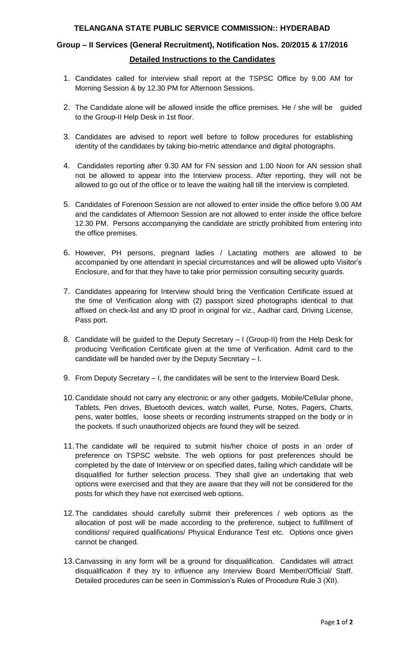#### **TELANGANA STATE PUBLIC SERVICE COMMISSION:: HYDERABAD**

## **Group – II Services (General Recruitment), Notification Nos. 20/2015 & 17/2016 Detailed Instructions to the Candidates**

- 1. Candidates called for interview shall report at the TSPSC Office by 9.00 AM for Morning Session & by 12.30 PM for Afternoon Sessions.
- 2. The Candidate alone will be allowed inside the office premises. He / she will be guided to the Group-II Help Desk in 1st floor.
- 3. Candidates are advised to report well before to follow procedures for establishing identity of the candidates by taking bio-metric attendance and digital photographs.
- 4. Candidates reporting after 9.30 AM for FN session and 1.00 Noon for AN session shall not be allowed to appear into the Interview process. After reporting, they will not be allowed to go out of the office or to leave the waiting hall till the interview is completed.
- 5. Candidates of Forenoon Session are not allowed to enter inside the office before 9.00 AM and the candidates of Afternoon Session are not allowed to enter inside the office before 12.30 PM. Persons accompanying the candidate are strictly prohibited from entering into the office premises.
- 6. However, PH persons, pregnant ladies / Lactating mothers are allowed to be accompanied by one attendant in special circumstances and will be allowed upto Visitor's Enclosure, and for that they have to take prior permission consulting security guards.
- 7. Candidates appearing for Interview should bring the Verification Certificate issued at the time of Verification along with (2) passport sized photographs identical to that affixed on check-list and any ID proof in original for viz., Aadhar card, Driving License, Pass port.
- 8. Candidate will be guided to the Deputy Secretary I (Group-II) from the Help Desk for producing Verification Certificate given at the time of Verification. Admit card to the candidate will be handed over by the Deputy Secretary – I.
- 9. From Deputy Secretary I, the candidates will be sent to the Interview Board Desk.
- 10.Candidate should not carry any electronic or any other gadgets, Mobile/Cellular phone, Tablets, Pen drives, Bluetooth devices, watch wallet, Purse, Notes, Pagers, Charts, pens, water bottles, loose sheets or recording instruments strapped on the body or in the pockets. If such unauthorized objects are found they will be seized.
- 11.The candidate will be required to submit his/her choice of posts in an order of preference on TSPSC website. The web options for post preferences should be completed by the date of Interview or on specified dates, failing which candidate will be disqualified for further selection process. They shall give an undertaking that web options were exercised and that they are aware that they will not be considered for the posts for which they have not exercised web options.
- 12.The candidates should carefully submit their preferences / web options as the allocation of post will be made according to the preference, subject to fulfillment of conditions/ required qualifications/ Physical Endurance Test etc. Options once given cannot be changed.
- 13.Canvassing in any form will be a ground for disqualification. Candidates will attract disqualification if they try to influence any Interview Board Member/Official/ Staff. Detailed procedures can be seen in Commission's Rules of Procedure Rule 3 (XII).